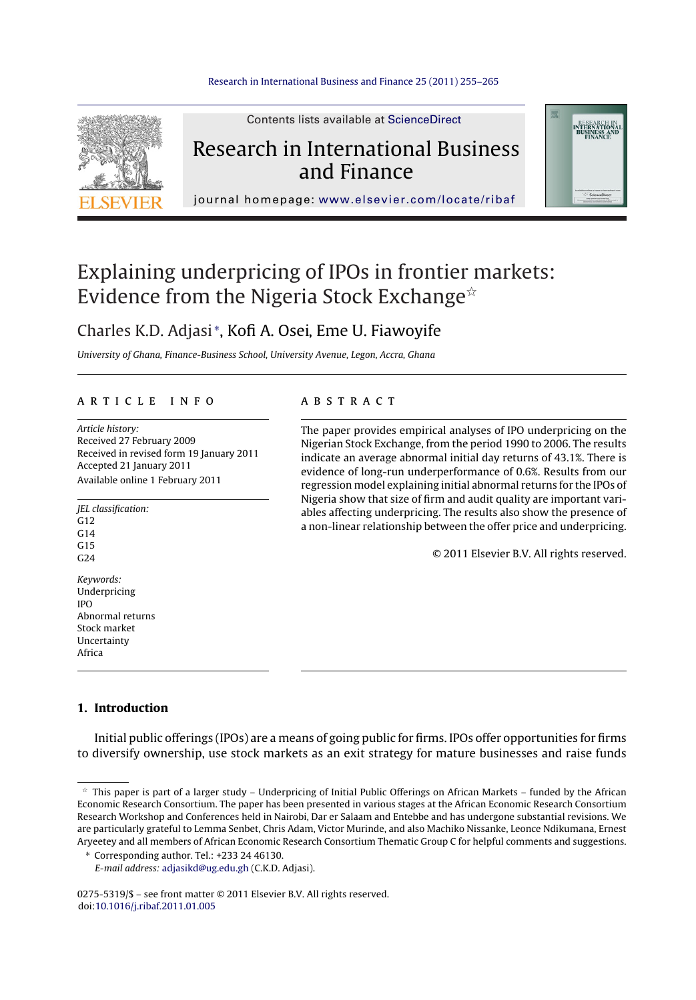

Contents lists available at [ScienceDirect](http://www.sciencedirect.com/science/journal/02755319)

# Research in International Business and Finance



journal homepage: [www.elsevier.com/locate/ribaf](http://www.elsevier.com/locate/ribaf)

# Explaining underpricing of IPOs in frontier markets: Evidence from the Nigeria Stock Exchange $^{\scriptscriptstyle\mathrm{\mathsf{\star}}}$

### Charles K.D. Adjasi <sup>∗</sup> , Kofi A. Osei, Eme U. Fiawoyife

University of Ghana, Finance-Business School, University Avenue, Legon, Accra, Ghana

#### a r t i c l e i n f o

Article history: Received 27 February 2009 Received in revised form 19 January 2011 Accepted 21 January 2011 Available online 1 February 2011

JEL classification: G12  $C<sub>14</sub>$  $G15$  $C24$ Keywords: Underpricing IPO Abnormal returns Stock market Uncertainty

#### A B S T R A C T

The paper provides empirical analyses of IPO underpricing on the Nigerian Stock Exchange, from the period 1990 to 2006. The results indicate an average abnormal initial day returns of 43.1%. There is evidence of long-run underperformance of 0.6%. Results from our regression model explaining initial abnormal returns for the IPOs of Nigeria show that size of firm and audit quality are important variables affecting underpricing. The results also show the presence of a non-linear relationship between the offer price and underpricing.

© 2011 Elsevier B.V. All rights reserved.

#### **1. Introduction**

Africa

Initial public offerings (IPOs) are a means of going public for firms. IPOs offer opportunities for firms to diversify ownership, use stock markets as an exit strategy for mature businesses and raise funds

∗ Corresponding author. Tel.: +233 24 46130.

E-mail address: [adjasikd@ug.edu.gh](mailto:adjasikd@ug.edu.gh) (C.K.D. Adjasi).

0275-5319/\$ – see front matter © 2011 Elsevier B.V. All rights reserved. doi:[10.1016/j.ribaf.2011.01.005](dx.doi.org/10.1016/j.ribaf.2011.01.005)

 $^\star$  This paper is part of a larger study – Underpricing of Initial Public Offerings on African Markets – funded by the African Economic Research Consortium. The paper has been presented in various stages at the African Economic Research Consortium Research Workshop and Conferences held in Nairobi, Dar er Salaam and Entebbe and has undergone substantial revisions. We are particularly grateful to Lemma Senbet, Chris Adam, Victor Murinde, and also Machiko Nissanke, Leonce Ndikumana, Ernest Aryeetey and all members of African Economic Research Consortium Thematic Group C for helpful comments and suggestions.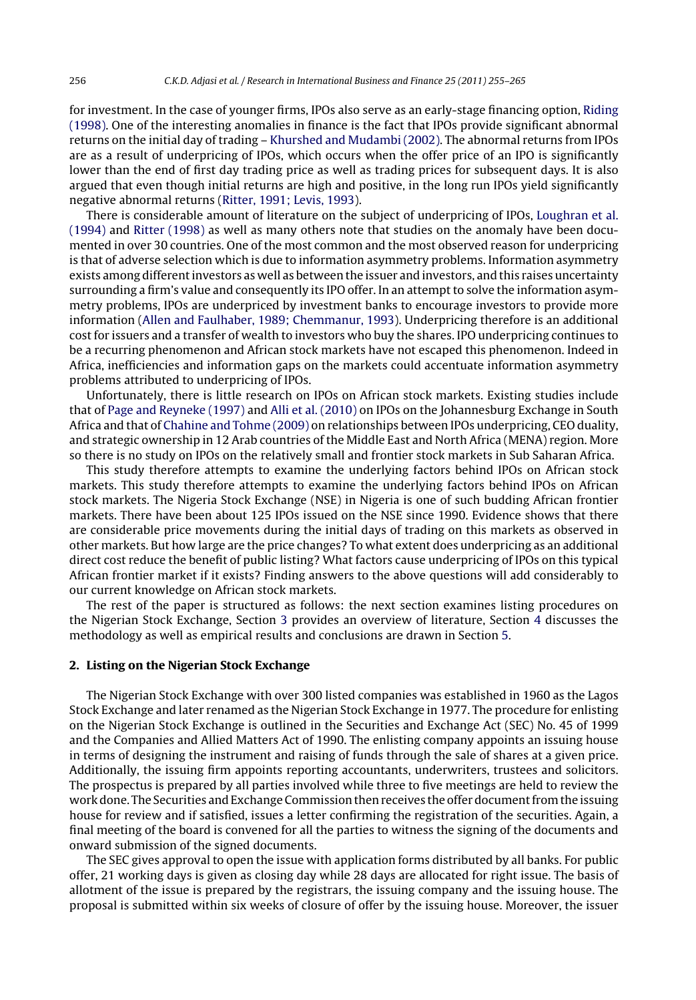for investment. In the case of younger firms, IPOs also serve as an early-stage financing option, [Riding](#page--1-0) [\(1998\).](#page--1-0) One of the interesting anomalies in finance is the fact that IPOs provide significant abnormal returns on the initial day of trading – [Khurshed](#page--1-0) [and](#page--1-0) [Mudambi](#page--1-0) [\(2002\).](#page--1-0) The abnormal returns from IPOs are as a result of underpricing of IPOs, which occurs when the offer price of an IPO is significantly lower than the end of first day trading price as well as trading prices for subsequent days. It is also argued that even though initial returns are high and positive, in the long run IPOs yield significantly negative abnormal returns [\(Ritter,](#page--1-0) [1991;](#page--1-0) [Levis,](#page--1-0) [1993\).](#page--1-0)

There is considerable amount of literature on the subject of underpricing of IPOs, [Loughran](#page--1-0) et [al.](#page--1-0) [\(1994\)](#page--1-0) and [Ritter](#page--1-0) [\(1998\)](#page--1-0) as well as many others note that studies on the anomaly have been documented in over 30 countries. One of the most common and the most observed reason for underpricing is that of adverse selection which is due to information asymmetry problems. Information asymmetry exists among differentinvestors as well as between the issuer and investors, and this raises uncertainty surrounding a firm's value and consequently its IPO offer. In an attempt to solve the information asymmetry problems, IPOs are underpriced by investment banks to encourage investors to provide more information ([Allen](#page--1-0) [and](#page--1-0) [Faulhaber,](#page--1-0) [1989;](#page--1-0) [Chemmanur,](#page--1-0) [1993\).](#page--1-0) Underpricing therefore is an additional cost for issuers and a transfer of wealth to investors who buy the shares. IPO underpricing continues to be a recurring phenomenon and African stock markets have not escaped this phenomenon. Indeed in Africa, inefficiencies and information gaps on the markets could accentuate information asymmetry problems attributed to underpricing of IPOs.

Unfortunately, there is little research on IPOs on African stock markets. Existing studies include that of [Page](#page--1-0) [and](#page--1-0) [Reyneke](#page--1-0) [\(1997\)](#page--1-0) and [Alli](#page--1-0) et [al.](#page--1-0) [\(2010\)](#page--1-0) on IPOs on the Johannesburg Exchange in South Africa and that of [Chahine](#page--1-0) [and](#page--1-0) [Tohme](#page--1-0) [\(2009\)](#page--1-0) on relationships between IPOs underpricing, CEO duality, and strategic ownership in 12 Arab countries of the Middle East and North Africa (MENA) region. More so there is no study on IPOs on the relatively small and frontier stock markets in Sub Saharan Africa.

This study therefore attempts to examine the underlying factors behind IPOs on African stock markets. This study therefore attempts to examine the underlying factors behind IPOs on African stock markets. The Nigeria Stock Exchange (NSE) in Nigeria is one of such budding African frontier markets. There have been about 125 IPOs issued on the NSE since 1990. Evidence shows that there are considerable price movements during the initial days of trading on this markets as observed in other markets. But how large are the price changes? To what extent does underpricing as an additional direct cost reduce the benefit of public listing? What factors cause underpricing of IPOs on this typical African frontier market if it exists? Finding answers to the above questions will add considerably to our current knowledge on African stock markets.

The rest of the paper is structured as follows: the next section examines listing procedures on the Nigerian Stock Exchange, Section [3](#page--1-0) provides an overview of literature, Section [4](#page--1-0) discusses the methodology as well as empirical results and conclusions are drawn in Section [5.](#page--1-0)

#### **2. Listing on the Nigerian Stock Exchange**

The Nigerian Stock Exchange with over 300 listed companies was established in 1960 as the Lagos Stock Exchange and later renamed as the Nigerian Stock Exchange in 1977. The procedure for enlisting on the Nigerian Stock Exchange is outlined in the Securities and Exchange Act (SEC) No. 45 of 1999 and the Companies and Allied Matters Act of 1990. The enlisting company appoints an issuing house in terms of designing the instrument and raising of funds through the sale of shares at a given price. Additionally, the issuing firm appoints reporting accountants, underwriters, trustees and solicitors. The prospectus is prepared by all parties involved while three to five meetings are held to review the work done. The Securities and Exchange Commission then receives the offer document from the issuing house for review and if satisfied, issues a letter confirming the registration of the securities. Again, a final meeting of the board is convened for all the parties to witness the signing of the documents and onward submission of the signed documents.

The SEC gives approval to open the issue with application forms distributed by all banks. For public offer, 21 working days is given as closing day while 28 days are allocated for right issue. The basis of allotment of the issue is prepared by the registrars, the issuing company and the issuing house. The proposal is submitted within six weeks of closure of offer by the issuing house. Moreover, the issuer